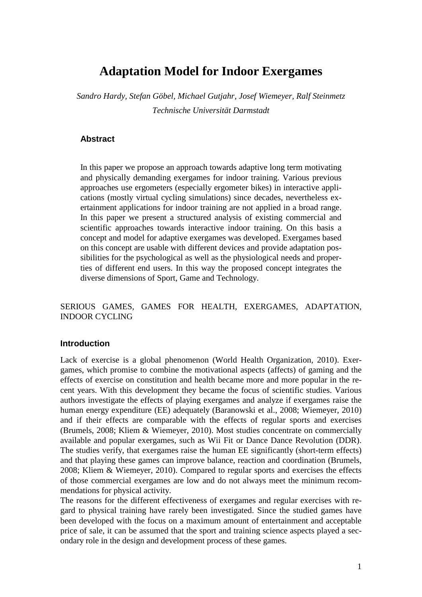# **Adaptation Model for Indoor Exergames**

*Sandro Hardy, Stefan Göbel, Michael Gutjahr, Josef Wiemeyer, Ralf Steinmetz Technische Universität Darmstadt*

#### **Abstract**

In this paper we propose an approach towards adaptive long term motivating and physically demanding exergames for indoor training. Various previous approaches use ergometers (especially ergometer bikes) in interactive applications (mostly virtual cycling simulations) since decades, nevertheless exertainment applications for indoor training are not applied in a broad range. In this paper we present a structured analysis of existing commercial and scientific approaches towards interactive indoor training. On this basis a concept and model for adaptive exergames was developed. Exergames based on this concept are usable with different devices and provide adaptation possibilities for the psychological as well as the physiological needs and properties of different end users. In this way the proposed concept integrates the diverse dimensions of Sport, Game and Technology.

# SERIOUS GAMES, GAMES FOR HEALTH, EXERGAMES, ADAPTATION, INDOOR CYCLING

#### **Introduction**

Lack of exercise is a global phenomenon (World Health Organization, 2010). Exergames, which promise to combine the motivational aspects (affects) of gaming and the effects of exercise on constitution and health became more and more popular in the recent years. With this development they became the focus of scientific studies. Various authors investigate the effects of playing exergames and analyze if exergames raise the human energy expenditure (EE) adequately (Baranowski et al., 2008; Wiemeyer, 2010) and if their effects are comparable with the effects of regular sports and exercises (Brumels, 2008; Kliem & Wiemeyer, 2010). Most studies concentrate on commercially available and popular exergames, such as Wii Fit or Dance Dance Revolution (DDR). The studies verify, that exergames raise the human EE significantly (short-term effects) and that playing these games can improve balance, reaction and coordination (Brumels, 2008; Kliem & Wiemeyer, 2010). Compared to regular sports and exercises the effects of those commercial exergames are low and do not always meet the minimum recommendations for physical activity.

The reasons for the different effectiveness of exergames and regular exercises with regard to physical training have rarely been investigated. Since the studied games have been developed with the focus on a maximum amount of entertainment and acceptable price of sale, it can be assumed that the sport and training science aspects played a secondary role in the design and development process of these games.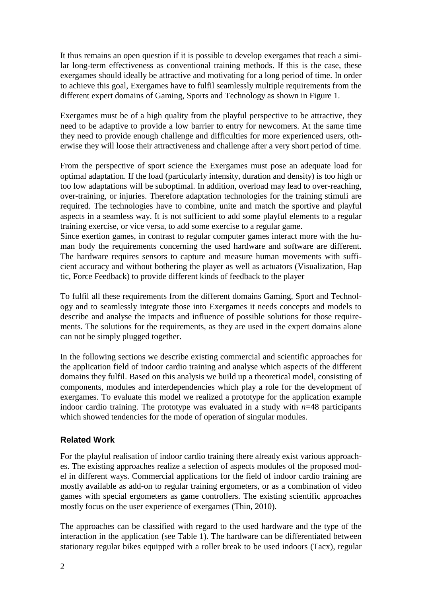It thus remains an open question if it is possible to develop exergames that reach a similar long-term effectiveness as conventional training methods. If this is the case, these exergames should ideally be attractive and motivating for a long period of time. In order to achieve this goal, Exergames have to fulfil seamlessly multiple requirements from the different expert domains of Gaming, Sports and Technology as shown in Figure 1.

Exergames must be of a high quality from the playful perspective to be attractive, they need to be adaptive to provide a low barrier to entry for newcomers. At the same time they need to provide enough challenge and difficulties for more experienced users, otherwise they will loose their attractiveness and challenge after a very short period of time.

From the perspective of sport science the Exergames must pose an adequate load for optimal adaptation. If the load (particularly intensity, duration and density) is too high or too low adaptations will be suboptimal. In addition, overload may lead to over-reaching, over-training, or injuries. Therefore adaptation technologies for the training stimuli are required. The technologies have to combine, unite and match the sportive and playful aspects in a seamless way. It is not sufficient to add some playful elements to a regular training exercise, or vice versa, to add some exercise to a regular game.

Since exertion games, in contrast to regular computer games interact more with the human body the requirements concerning the used hardware and software are different. The hardware requires sensors to capture and measure human movements with sufficient accuracy and without bothering the player as well as actuators (Visualization, Hap tic, Force Feedback) to provide different kinds of feedback to the player

To fulfil all these requirements from the different domains Gaming, Sport and Technology and to seamlessly integrate those into Exergames it needs concepts and models to describe and analyse the impacts and influence of possible solutions for those requirements. The solutions for the requirements, as they are used in the expert domains alone can not be simply plugged together.

In the following sections we describe existing commercial and scientific approaches for the application field of indoor cardio training and analyse which aspects of the different domains they fulfil. Based on this analysis we build up a theoretical model, consisting of components, modules and interdependencies which play a role for the development of exergames. To evaluate this model we realized a prototype for the application example indoor cardio training. The prototype was evaluated in a study with  $n=48$  participants which showed tendencies for the mode of operation of singular modules.

# **Related Work**

For the playful realisation of indoor cardio training there already exist various approaches. The existing approaches realize a selection of aspects modules of the proposed model in different ways. Commercial applications for the field of indoor cardio training are mostly available as add-on to regular training ergometers, or as a combination of video games with special ergometers as game controllers. The existing scientific approaches mostly focus on the user experience of exergames (Thin, 2010).

The approaches can be classified with regard to the used hardware and the type of the interaction in the application (see Table 1). The hardware can be differentiated between stationary regular bikes equipped with a roller break to be used indoors (Tacx), regular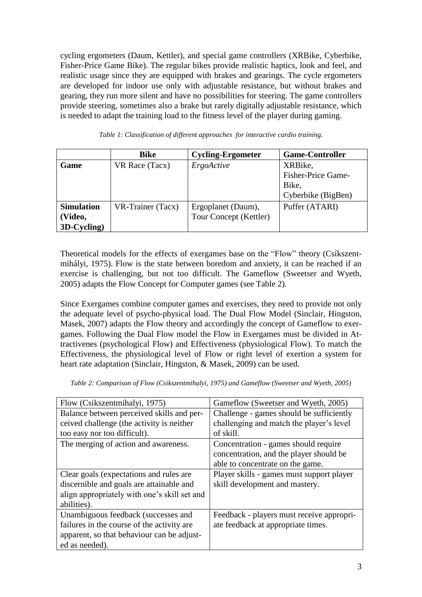cycling ergometers (Daum, Kettler), and special game controllers (XRBike, Cyberbike, Fisher-Price Game Bike). The regular bikes provide realistic haptics, look and feel, and realistic usage since they are equipped with brakes and gearings. The cycle ergometers are developed for indoor use only with adjustable resistance, but without brakes and gearing, they run more silent and have no possibilities for steering. The game controllers provide steering, sometimes also a brake but rarely digitally adjustable resistance, which is needed to adapt the training load to the fitness level of the player during gaming.

|                   | Bike              | <b>Cycling-Ergometer</b> | <b>Game-Controller</b>    |
|-------------------|-------------------|--------------------------|---------------------------|
| Game              | VR Race (Tacx)    | ErgoActive               | XRBike,                   |
|                   |                   |                          | <b>Fisher-Price Game-</b> |
|                   |                   |                          | Bike,                     |
|                   |                   |                          | Cyberbike (BigBen)        |
| <b>Simulation</b> | VR-Trainer (Tacx) | Ergoplanet (Daum),       | Puffer (ATARI)            |
| (Video,           |                   | Tour Concept (Kettler)   |                           |
| 3D-Cycling)       |                   |                          |                           |

*Table 1: Classification of different approaches for interactive cardio training.*

Theoretical models for the effects of exergames base on the "Flow" theory (Csíkszentmihályi, 1975). Flow is the state between boredom and anxiety, it can be reached if an exercise is challenging, but not too difficult. The Gameflow (Sweetser and Wyeth, 2005) adapts the Flow Concept for Computer games (see Table 2).

Since Exergames combine computer games and exercises, they need to provide not only the adequate level of psycho-physical load. The Dual Flow Model (Sinclair, Hingston, Masek, 2007) adapts the Flow theory and accordingly the concept of Gameflow to exergames. Following the Dual Flow model the Flow in Exergames must be divided in Attractivenes (psychological Flow) and Effectiveness (physiological Flow). To match the Effectiveness, the physiological level of Flow or right level of exertion a system for heart rate adaptation (Sinclair, Hingston, & Masek, 2009) can be used.

| Flow (Csikszentmihalyi, 1975)                | Gameflow (Sweetser and Wyeth, 2005)       |  |
|----------------------------------------------|-------------------------------------------|--|
| Balance between perceived skills and per-    | Challenge - games should be sufficiently  |  |
| ceived challenge (the activity is neither    | challenging and match the player's level  |  |
| too easy nor too difficult).                 | of skill.                                 |  |
| The merging of action and awareness.         | Concentration - games should require      |  |
|                                              | concentration, and the player should be   |  |
|                                              | able to concentrate on the game.          |  |
| Clear goals (expectations and rules are      | Player skills - games must support player |  |
| discernible and goals are attainable and     | skill development and mastery.            |  |
| align appropriately with one's skill set and |                                           |  |
| abilities).                                  |                                           |  |
| Unambiguous feedback (successes and          | Feedback - players must receive appropri- |  |
| failures in the course of the activity are.  | ate feedback at appropriate times.        |  |
| apparent, so that behaviour can be adjust-   |                                           |  |
| ed as needed).                               |                                           |  |

*Table 2: Comparison of Flow (Csikszentmihalyi, 1975) and Gameflow (Sweetser and Wyeth, 2005)*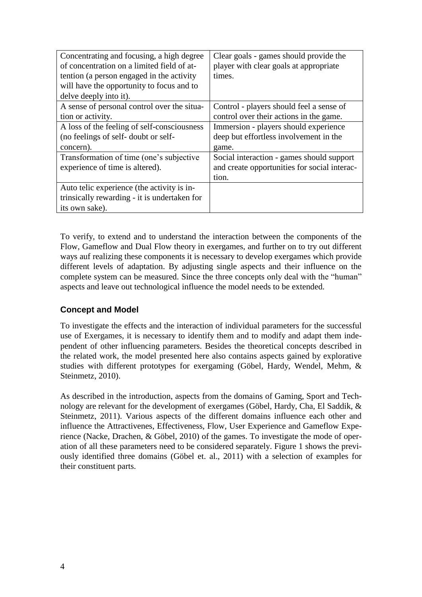| Concentrating and focusing, a high degree    | Clear goals - games should provide the       |  |
|----------------------------------------------|----------------------------------------------|--|
| of concentration on a limited field of at-   | player with clear goals at appropriate       |  |
| tention (a person engaged in the activity    | times.                                       |  |
| will have the opportunity to focus and to    |                                              |  |
| delve deeply into it).                       |                                              |  |
| A sense of personal control over the situa-  | Control - players should feel a sense of     |  |
| tion or activity.                            | control over their actions in the game.      |  |
| A loss of the feeling of self-consciousness  | Immersion - players should experience        |  |
| (no feelings of self-doubt or self-          | deep but effortless involvement in the       |  |
| concern).                                    | game.                                        |  |
| Transformation of time (one's subjective     | Social interaction - games should support    |  |
| experience of time is altered).              | and create opportunities for social interac- |  |
|                                              | tion.                                        |  |
| Auto telic experience (the activity is in-   |                                              |  |
| trinsically rewarding - it is undertaken for |                                              |  |
| its own sake).                               |                                              |  |

To verify, to extend and to understand the interaction between the components of the Flow, Gameflow and Dual Flow theory in exergames, and further on to try out different ways auf realizing these components it is necessary to develop exergames which provide different levels of adaptation. By adjusting single aspects and their influence on the complete system can be measured. Since the three concepts only deal with the "human" aspects and leave out technological influence the model needs to be extended.

# **Concept and Model**

To investigate the effects and the interaction of individual parameters for the successful use of Exergames, it is necessary to identify them and to modify and adapt them independent of other influencing parameters. Besides the theoretical concepts described in the related work, the model presented here also contains aspects gained by explorative studies with different prototypes for exergaming (Göbel, Hardy, Wendel, Mehm, & Steinmetz, 2010).

As described in the introduction, aspects from the domains of Gaming, Sport and Technology are relevant for the development of exergames (Göbel, Hardy, Cha, El Saddik, & Steinmetz, 2011). Various aspects of the different domains influence each other and influence the Attractivenes, Effectiveness, Flow, User Experience and Gameflow Experience (Nacke, Drachen, & Göbel, 2010) of the games. To investigate the mode of operation of all these parameters need to be considered separately. Figure 1 shows the previously identified three domains (Göbel et. al., 2011) with a selection of examples for their constituent parts.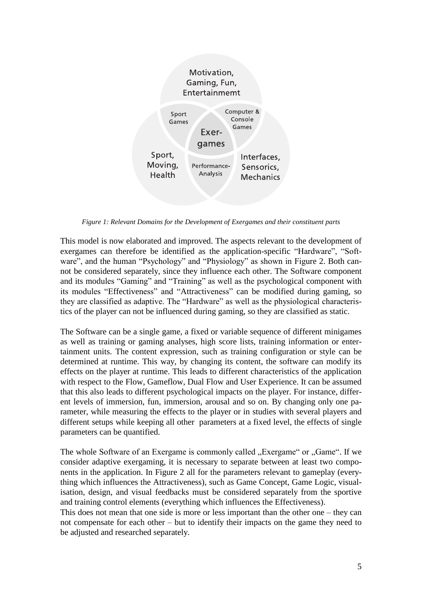

*Figure 1: Relevant Domains for the Development of Exergames and their constituent parts*

This model is now elaborated and improved. The aspects relevant to the development of exergames can therefore be identified as the application-specific "Hardware", "Software", and the human "Psychology" and "Physiology" as shown in Figure 2. Both cannot be considered separately, since they influence each other. The Software component and its modules "Gaming" and "Training" as well as the psychological component with its modules "Effectiveness" and "Attractiveness" can be modified during gaming, so they are classified as adaptive. The "Hardware" as well as the physiological characteristics of the player can not be influenced during gaming, so they are classified as static.

The Software can be a single game, a fixed or variable sequence of different minigames as well as training or gaming analyses, high score lists, training information or entertainment units. The content expression, such as training configuration or style can be determined at runtime. This way, by changing its content, the software can modify its effects on the player at runtime. This leads to different characteristics of the application with respect to the Flow, Gameflow, Dual Flow and User Experience. It can be assumed that this also leads to different psychological impacts on the player. For instance, different levels of immersion, fun, immersion, arousal and so on. By changing only one parameter, while measuring the effects to the player or in studies with several players and different setups while keeping all other parameters at a fixed level, the effects of single parameters can be quantified.

The whole Software of an Exergame is commonly called "Exergame" or "Game". If we consider adaptive exergaming, it is necessary to separate between at least two components in the application. In Figure 2 all for the parameters relevant to gameplay (everything which influences the Attractiveness), such as Game Concept, Game Logic, visualisation, design, and visual feedbacks must be considered separately from the sportive and training control elements (everything which influences the Effectiveness).

This does not mean that one side is more or less important than the other one – they can not compensate for each other – but to identify their impacts on the game they need to be adjusted and researched separately.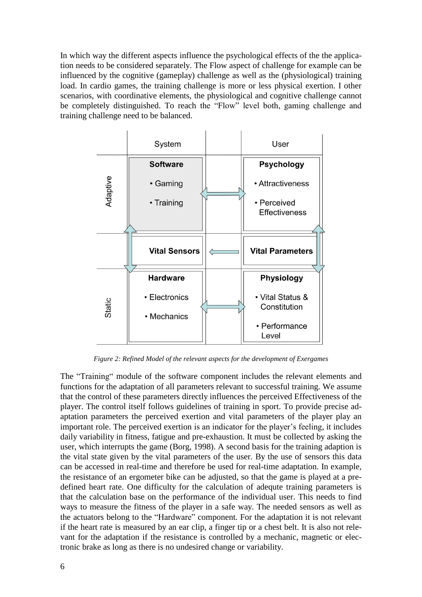In which way the different aspects influence the psychological effects of the the application needs to be considered separately. The Flow aspect of challenge for example can be influenced by the cognitive (gameplay) challenge as well as the (physiological) training load. In cardio games, the training challenge is more or less physical exertion. I other scenarios, with coordinative elements, the physiological and cognitive challenge cannot be completely distinguished. To reach the "Flow" level both, gaming challenge and training challenge need to be balanced.



*Figure 2: Refined Model of the relevant aspects for the development of Exergames*

The "Training" module of the software component includes the relevant elements and functions for the adaptation of all parameters relevant to successful training. We assume that the control of these parameters directly influences the perceived Effectiveness of the player. The control itself follows guidelines of training in sport. To provide precise adaptation parameters the perceived exertion and vital parameters of the player play an important role. The perceived exertion is an indicator for the player's feeling, it includes daily variability in fitness, fatigue and pre-exhaustion. It must be collected by asking the user, which interrupts the game (Borg, 1998). A second basis for the training adaption is the vital state given by the vital parameters of the user. By the use of sensors this data can be accessed in real-time and therefore be used for real-time adaptation. In example, the resistance of an ergometer bike can be adjusted, so that the game is played at a predefined heart rate. One difficulty for the calculation of adequte training parameters is that the calculation base on the performance of the individual user. This needs to find ways to measure the fitness of the player in a safe way. The needed sensors as well as the actuators belong to the "Hardware" component. For the adaptation it is not relevant if the heart rate is measured by an ear clip, a finger tip or a chest belt. It is also not relevant for the adaptation if the resistance is controlled by a mechanic, magnetic or electronic brake as long as there is no undesired change or variability.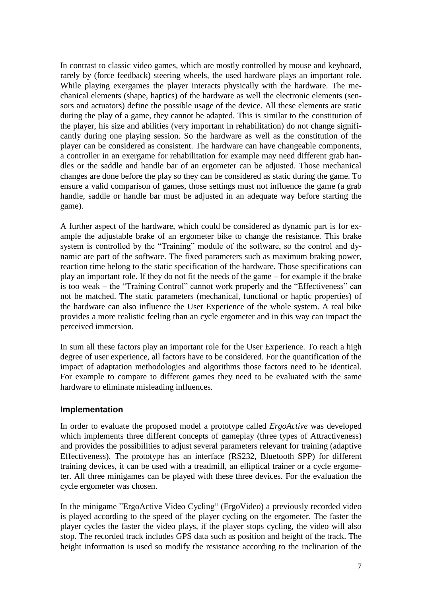In contrast to classic video games, which are mostly controlled by mouse and keyboard, rarely by (force feedback) steering wheels, the used hardware plays an important role. While playing exergames the player interacts physically with the hardware. The mechanical elements (shape, haptics) of the hardware as well the electronic elements (sensors and actuators) define the possible usage of the device. All these elements are static during the play of a game, they cannot be adapted. This is similar to the constitution of the player, his size and abilities (very important in rehabilitation) do not change significantly during one playing session. So the hardware as well as the constitution of the player can be considered as consistent. The hardware can have changeable components, a controller in an exergame for rehabilitation for example may need different grab handles or the saddle and handle bar of an ergometer can be adjusted. Those mechanical changes are done before the play so they can be considered as static during the game. To ensure a valid comparison of games, those settings must not influence the game (a grab handle, saddle or handle bar must be adjusted in an adequate way before starting the game).

A further aspect of the hardware, which could be considered as dynamic part is for example the adjustable brake of an ergometer bike to change the resistance. This brake system is controlled by the "Training" module of the software, so the control and dynamic are part of the software. The fixed parameters such as maximum braking power, reaction time belong to the static specification of the hardware. Those specifications can play an important role. If they do not fit the needs of the game – for example if the brake is too weak – the "Training Control" cannot work properly and the "Effectiveness" can not be matched. The static parameters (mechanical, functional or haptic properties) of the hardware can also influence the User Experience of the whole system. A real bike provides a more realistic feeling than an cycle ergometer and in this way can impact the perceived immersion.

In sum all these factors play an important role for the User Experience. To reach a high degree of user experience, all factors have to be considered. For the quantification of the impact of adaptation methodologies and algorithms those factors need to be identical. For example to compare to different games they need to be evaluated with the same hardware to eliminate misleading influences.

# **Implementation**

In order to evaluate the proposed model a prototype called *ErgoActive* was developed which implements three different concepts of gameplay (three types of Attractiveness) and provides the possibilities to adjust several parameters relevant for training (adaptive Effectiveness). The prototype has an interface (RS232, Bluetooth SPP) for different training devices, it can be used with a treadmill, an elliptical trainer or a cycle ergometer. All three minigames can be played with these three devices. For the evaluation the cycle ergometer was chosen.

In the minigame "ErgoActive Video Cycling" (ErgoVideo) a previously recorded video is played according to the speed of the player cycling on the ergometer. The faster the player cycles the faster the video plays, if the player stops cycling, the video will also stop. The recorded track includes GPS data such as position and height of the track. The height information is used so modify the resistance according to the inclination of the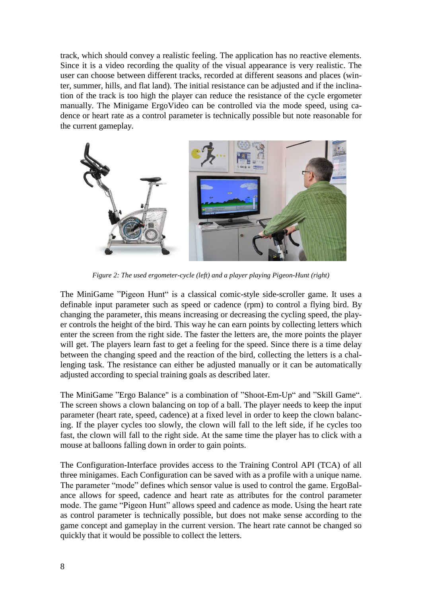track, which should convey a realistic feeling. The application has no reactive elements. Since it is a video recording the quality of the visual appearance is very realistic. The user can choose between different tracks, recorded at different seasons and places (winter, summer, hills, and flat land). The initial resistance can be adjusted and if the inclination of the track is too high the player can reduce the resistance of the cycle ergometer manually. The Minigame ErgoVideo can be controlled via the mode speed, using cadence or heart rate as a control parameter is technically possible but note reasonable for the current gameplay.



*Figure 2: The used ergometer-cycle (left) and a player playing Pigeon-Hunt (right)*

The MiniGame "Pigeon Hunt" is a classical comic-style side-scroller game. It uses a definable input parameter such as speed or cadence (rpm) to control a flying bird. By changing the parameter, this means increasing or decreasing the cycling speed, the player controls the height of the bird. This way he can earn points by collecting letters which enter the screen from the right side. The faster the letters are, the more points the player will get. The players learn fast to get a feeling for the speed. Since there is a time delay between the changing speed and the reaction of the bird, collecting the letters is a challenging task. The resistance can either be adjusted manually or it can be automatically adjusted according to special training goals as described later.

The MiniGame "Ergo Balance" is a combination of "Shoot-Em-Up" and "Skill Game". The screen shows a clown balancing on top of a ball. The player needs to keep the input parameter (heart rate, speed, cadence) at a fixed level in order to keep the clown balancing. If the player cycles too slowly, the clown will fall to the left side, if he cycles too fast, the clown will fall to the right side. At the same time the player has to click with a mouse at balloons falling down in order to gain points.

The Configuration-Interface provides access to the Training Control API (TCA) of all three minigames. Each Configuration can be saved with as a profile with a unique name. The parameter "mode" defines which sensor value is used to control the game. ErgoBalance allows for speed, cadence and heart rate as attributes for the control parameter mode. The game "Pigeon Hunt" allows speed and cadence as mode. Using the heart rate as control parameter is technically possible, but does not make sense according to the game concept and gameplay in the current version. The heart rate cannot be changed so quickly that it would be possible to collect the letters.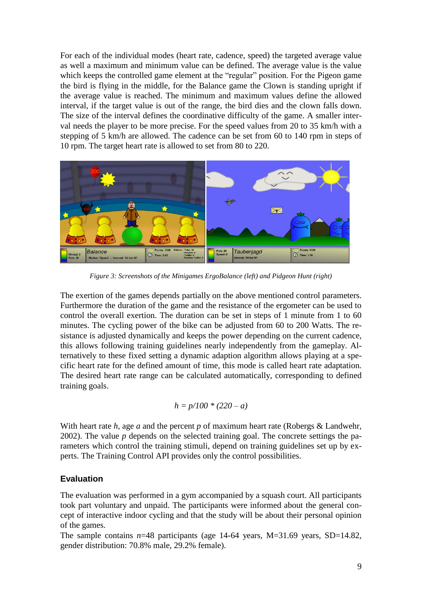For each of the individual modes (heart rate, cadence, speed) the targeted average value as well a maximum and minimum value can be defined. The average value is the value which keeps the controlled game element at the "regular" position. For the Pigeon game the bird is flying in the middle, for the Balance game the Clown is standing upright if the average value is reached. The minimum and maximum values define the allowed interval, if the target value is out of the range, the bird dies and the clown falls down. The size of the interval defines the coordinative difficulty of the game. A smaller interval needs the player to be more precise. For the speed values from 20 to 35 km/h with a stepping of 5 km/h are allowed. The cadence can be set from 60 to 140 rpm in steps of 10 rpm. The target heart rate is allowed to set from 80 to 220.



*Figure 3: Screenshots of the Minigames ErgoBalance (left) and Pidgeon Hunt (right)*

The exertion of the games depends partially on the above mentioned control parameters. Furthermore the duration of the game and the resistance of the ergometer can be used to control the overall exertion. The duration can be set in steps of 1 minute from 1 to 60 minutes. The cycling power of the bike can be adjusted from 60 to 200 Watts. The resistance is adjusted dynamically and keeps the power depending on the current cadence, this allows following training guidelines nearly independently from the gameplay. Alternatively to these fixed setting a dynamic adaption algorithm allows playing at a specific heart rate for the defined amount of time, this mode is called heart rate adaptation. The desired heart rate range can be calculated automatically, corresponding to defined training goals.

$$
h = p/100 * (220 - a)
$$

With heart rate *h*, age *a* and the percent *p* of maximum heart rate (Robergs & Landwehr, 2002). The value *p* depends on the selected training goal. The concrete settings the parameters which control the training stimuli, depend on training guidelines set up by experts. The Training Control API provides only the control possibilities.

# **Evaluation**

The evaluation was performed in a gym accompanied by a squash court. All participants took part voluntary and unpaid. The participants were informed about the general concept of interactive indoor cycling and that the study will be about their personal opinion of the games.

The sample contains *n*=48 participants (age 14-64 years, M=31.69 years, SD=14.82, gender distribution: 70.8% male, 29.2% female).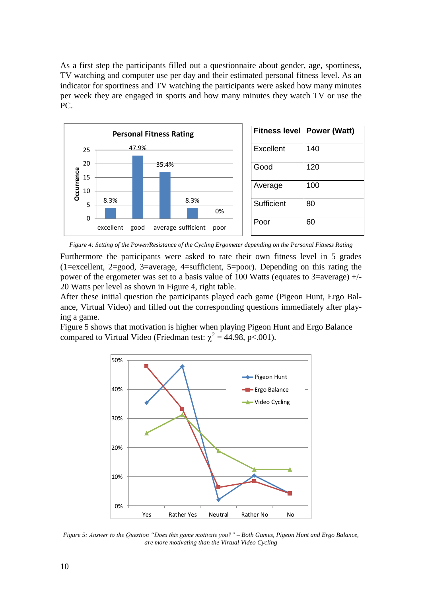As a first step the participants filled out a questionnaire about gender, age, sportiness, TV watching and computer use per day and their estimated personal fitness level. As an indicator for sportiness and TV watching the participants were asked how many minutes per week they are engaged in sports and how many minutes they watch TV or use the PC.



*Figure 4: Setting of the Power/Resistance of the Cycling Ergometer depending on the Personal Fitness Rating*

Furthermore the participants were asked to rate their own fitness level in 5 grades (1=excellent, 2=good, 3=average, 4=sufficient, 5=poor). Depending on this rating the power of the ergometer was set to a basis value of 100 Watts (equates to  $3$ =average)  $+/-$ 20 Watts per level as shown in Figure 4, right table.

After these initial question the participants played each game (Pigeon Hunt, Ergo Balance, Virtual Video) and filled out the corresponding questions immediately after playing a game.

Figure 5 shows that motivation is higher when playing Pigeon Hunt and Ergo Balance compared to Virtual Video (Friedman test:  $\chi^2 = 44.98$ , p<.001).



*Figure 5: Answer to the Question "Does this game motivate you?" – Both Games, Pigeon Hunt and Ergo Balance, are more motivating than the Virtual Video Cycling*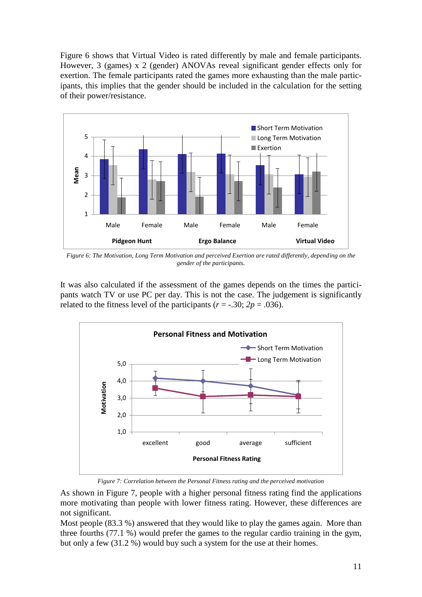Figure 6 shows that Virtual Video is rated differently by male and female participants. However, 3 (games) x 2 (gender) ANOVAs reveal significant gender effects only for exertion. The female participants rated the games more exhausting than the male participants, this implies that the gender should be included in the calculation for the setting of their power/resistance.



*Figure 6: The Motivation, Long Term Motivation and perceived Exertion are rated differently, depending on the gender of the participants.*

It was also calculated if the assessment of the games depends on the times the participants watch TV or use PC per day. This is not the case. The judgement is significantly related to the fitness level of the participants ( $r = -0.30$ ;  $2p = 0.036$ ).



*Figure 7: Correlation between the Personal Fitness rating and the perceived motivation*

As shown in Figure 7, people with a higher personal fitness rating find the applications more motivating than people with lower fitness rating. However, these differences are not significant.

Most people (83.3 %) answered that they would like to play the games again. More than three fourths (77.1 %) would prefer the games to the regular cardio training in the gym, but only a few (31.2 %) would buy such a system for the use at their homes.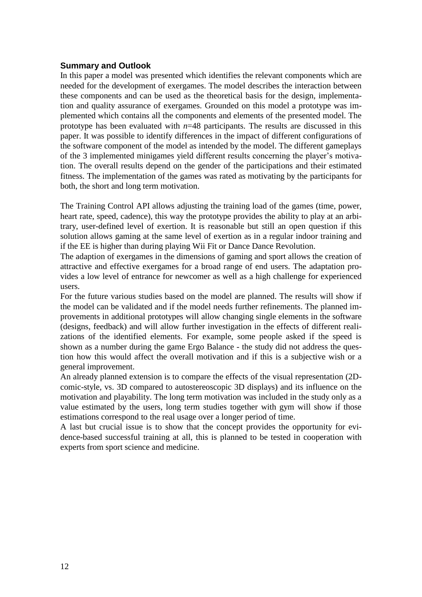# **Summary and Outlook**

In this paper a model was presented which identifies the relevant components which are needed for the development of exergames. The model describes the interaction between these components and can be used as the theoretical basis for the design, implementation and quality assurance of exergames. Grounded on this model a prototype was implemented which contains all the components and elements of the presented model. The prototype has been evaluated with  $n=48$  participants. The results are discussed in this paper. It was possible to identify differences in the impact of different configurations of the software component of the model as intended by the model. The different gameplays of the 3 implemented minigames yield different results concerning the player's motivation. The overall results depend on the gender of the participations and their estimated fitness. The implementation of the games was rated as motivating by the participants for both, the short and long term motivation.

The Training Control API allows adjusting the training load of the games (time, power, heart rate, speed, cadence), this way the prototype provides the ability to play at an arbitrary, user-defined level of exertion. It is reasonable but still an open question if this solution allows gaming at the same level of exertion as in a regular indoor training and if the EE is higher than during playing Wii Fit or Dance Dance Revolution.

The adaption of exergames in the dimensions of gaming and sport allows the creation of attractive and effective exergames for a broad range of end users. The adaptation provides a low level of entrance for newcomer as well as a high challenge for experienced users.

For the future various studies based on the model are planned. The results will show if the model can be validated and if the model needs further refinements. The planned improvements in additional prototypes will allow changing single elements in the software (designs, feedback) and will allow further investigation in the effects of different realizations of the identified elements. For example, some people asked if the speed is shown as a number during the game Ergo Balance - the study did not address the question how this would affect the overall motivation and if this is a subjective wish or a general improvement.

An already planned extension is to compare the effects of the visual representation (2Dcomic-style, vs. 3D compared to autostereoscopic 3D displays) and its influence on the motivation and playability. The long term motivation was included in the study only as a value estimated by the users, long term studies together with gym will show if those estimations correspond to the real usage over a longer period of time.

A last but crucial issue is to show that the concept provides the opportunity for evidence-based successful training at all, this is planned to be tested in cooperation with experts from sport science and medicine.